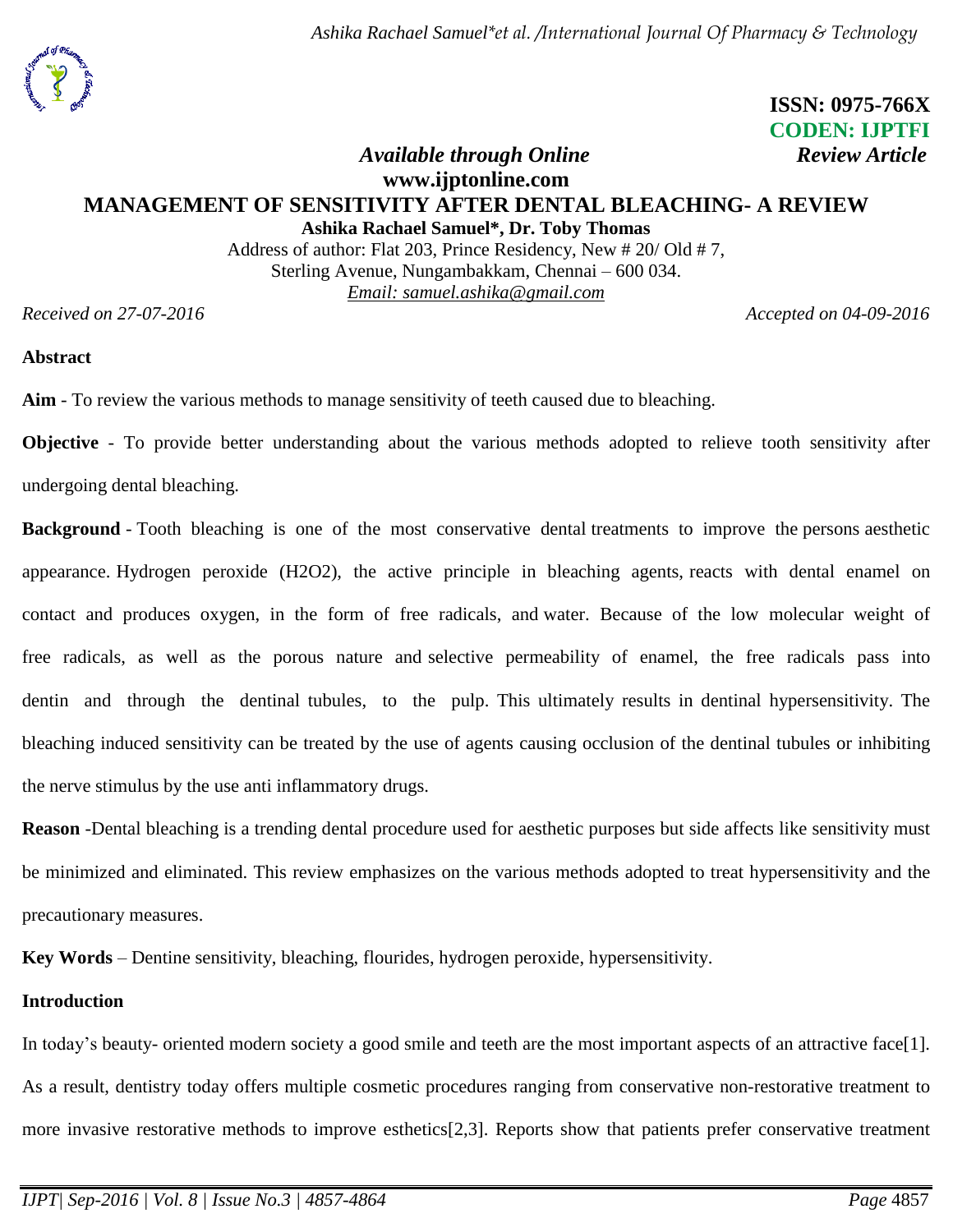# **ISSN: 0975-766X CODEN: IJPTFI** *Available through Online Review Article*

# **www.ijptonline.com MANAGEMENT OF SENSITIVITY AFTER DENTAL BLEACHING- A REVIEW Ashika Rachael Samuel\*, Dr. Toby Thomas**

Address of author: Flat 203, Prince Residency, New # 20/ Old # 7, Sterling Avenue, Nungambakkam, Chennai – 600 034. *Email: samuel.ashika@gmail.com*

*Received on* 27-07-2016 **Accepted** *on* 04-09-2016

## **Abstract**

**Aim** - To review the various methods to manage sensitivity of teeth caused due to bleaching.

**Objective** - To provide better understanding about the various methods adopted to relieve tooth sensitivity after undergoing dental bleaching.

**Background** - Tooth bleaching is one of the most conservative dental treatments to improve the persons aesthetic appearance. Hydrogen peroxide (H2O2), the active principle in bleaching agents, reacts with dental enamel on contact and produces oxygen, in the form of free radicals, and water. Because of the low molecular weight of free radicals, as well as the porous nature and selective permeability of enamel, the free radicals pass into dentin and through the dentinal tubules, to the pulp. This ultimately results in dentinal hypersensitivity. The bleaching induced sensitivity can be treated by the use of agents causing occlusion of the dentinal tubules or inhibiting the nerve stimulus by the use anti inflammatory drugs.

**Reason** -Dental bleaching is a trending dental procedure used for aesthetic purposes but side affects like sensitivity must be minimized and eliminated. This review emphasizes on the various methods adopted to treat hypersensitivity and the precautionary measures.

**Key Words** – Dentine sensitivity, bleaching, flourides, hydrogen peroxide, hypersensitivity.

# **Introduction**

In today's beauty- oriented modern society a good smile and teeth are the most important aspects of an attractive face[1]. As a result, dentistry today offers multiple cosmetic procedures ranging from conservative non-restorative treatment to more invasive restorative methods to improve esthetics[2,3]. Reports show that patients prefer conservative treatment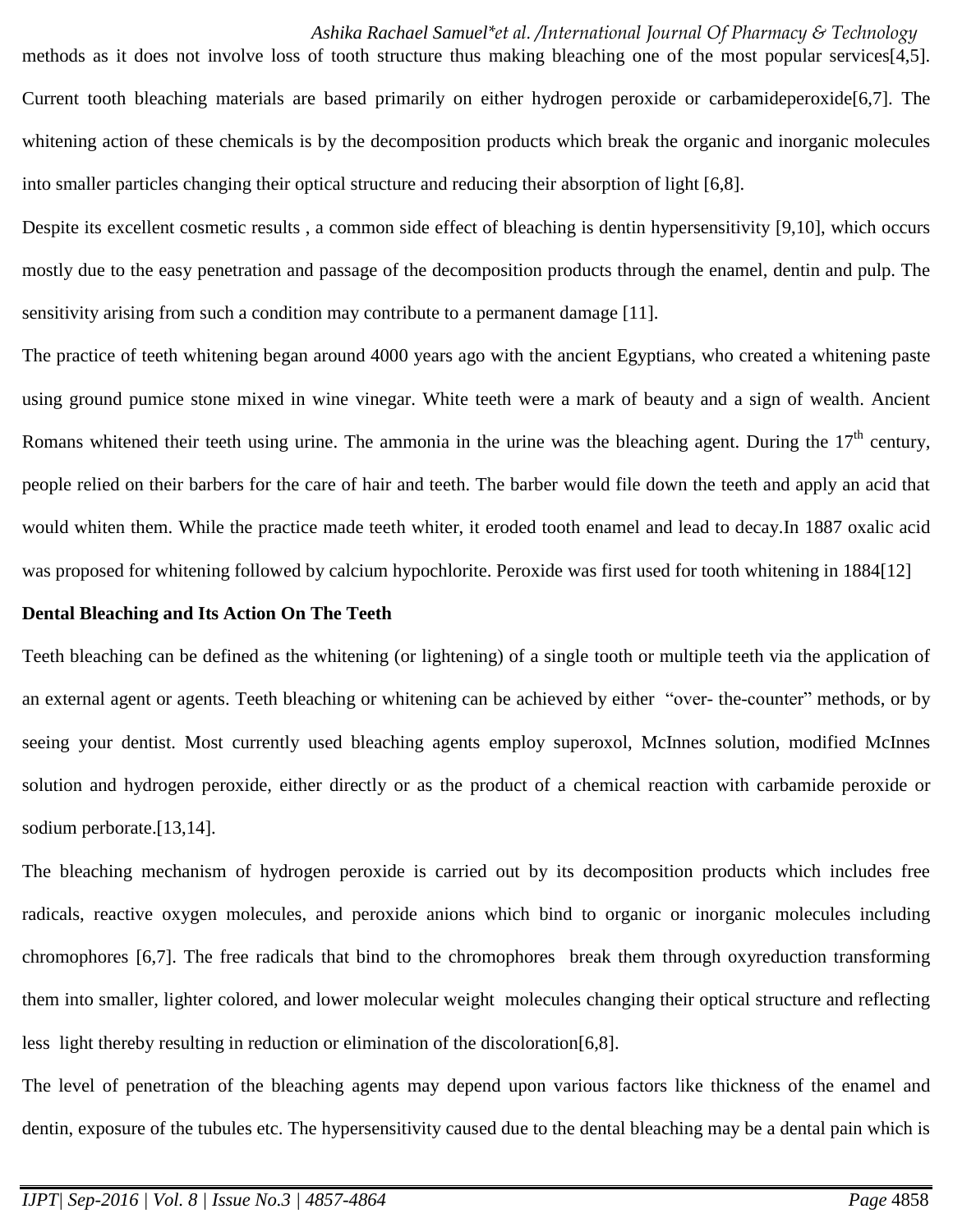methods as it does not involve loss of tooth structure thus making bleaching one of the most popular services[4,5]. Current tooth bleaching materials are based primarily on either hydrogen peroxide or carbamideperoxide[6,7]. The whitening action of these chemicals is by the decomposition products which break the organic and inorganic molecules into smaller particles changing their optical structure and reducing their absorption of light [6,8].

Despite its excellent cosmetic results , a common side effect of bleaching is dentin hypersensitivity [9,10], which occurs mostly due to the easy penetration and passage of the decomposition products through the enamel, dentin and pulp. The sensitivity arising from such a condition may contribute to a permanent damage [11].

The practice of teeth whitening began around 4000 years ago with the ancient Egyptians, who created a whitening paste using ground pumice stone mixed in wine vinegar. White teeth were a mark of beauty and a sign of wealth. Ancient Romans whitened their teeth using urine. The ammonia in the urine was the bleaching agent. During the  $17<sup>th</sup>$  century, people relied on their barbers for the care of hair and teeth. The barber would file down the teeth and apply an acid that would whiten them. While the practice made teeth whiter, it eroded tooth enamel and lead to decay.In 1887 oxalic acid was proposed for whitening followed by calcium hypochlorite. Peroxide was first used for tooth whitening in 1884[12]

#### **Dental Bleaching and Its Action On The Teeth**

Teeth bleaching can be defined as the whitening (or lightening) of a single tooth or multiple teeth via the application of an external agent or agents. Teeth bleaching or whitening can be achieved by either "over- the-counter" methods, or by seeing your dentist. Most currently used bleaching agents employ superoxol, McInnes solution, modified McInnes solution and hydrogen peroxide, either directly or as the product of a chemical reaction with carbamide peroxide or sodium perborate.[13,14].

The bleaching mechanism of hydrogen peroxide is carried out by its decomposition products which includes free radicals, reactive oxygen molecules, and peroxide anions which bind to organic or inorganic molecules including chromophores [6,7]. The free radicals that bind to the chromophores break them through oxyreduction transforming them into smaller, lighter colored, and lower molecular weight molecules changing their optical structure and reflecting less light thereby resulting in reduction or elimination of the discoloration[6,8].

The level of penetration of the bleaching agents may depend upon various factors like thickness of the enamel and dentin, exposure of the tubules etc. The hypersensitivity caused due to the dental bleaching may be a dental pain which is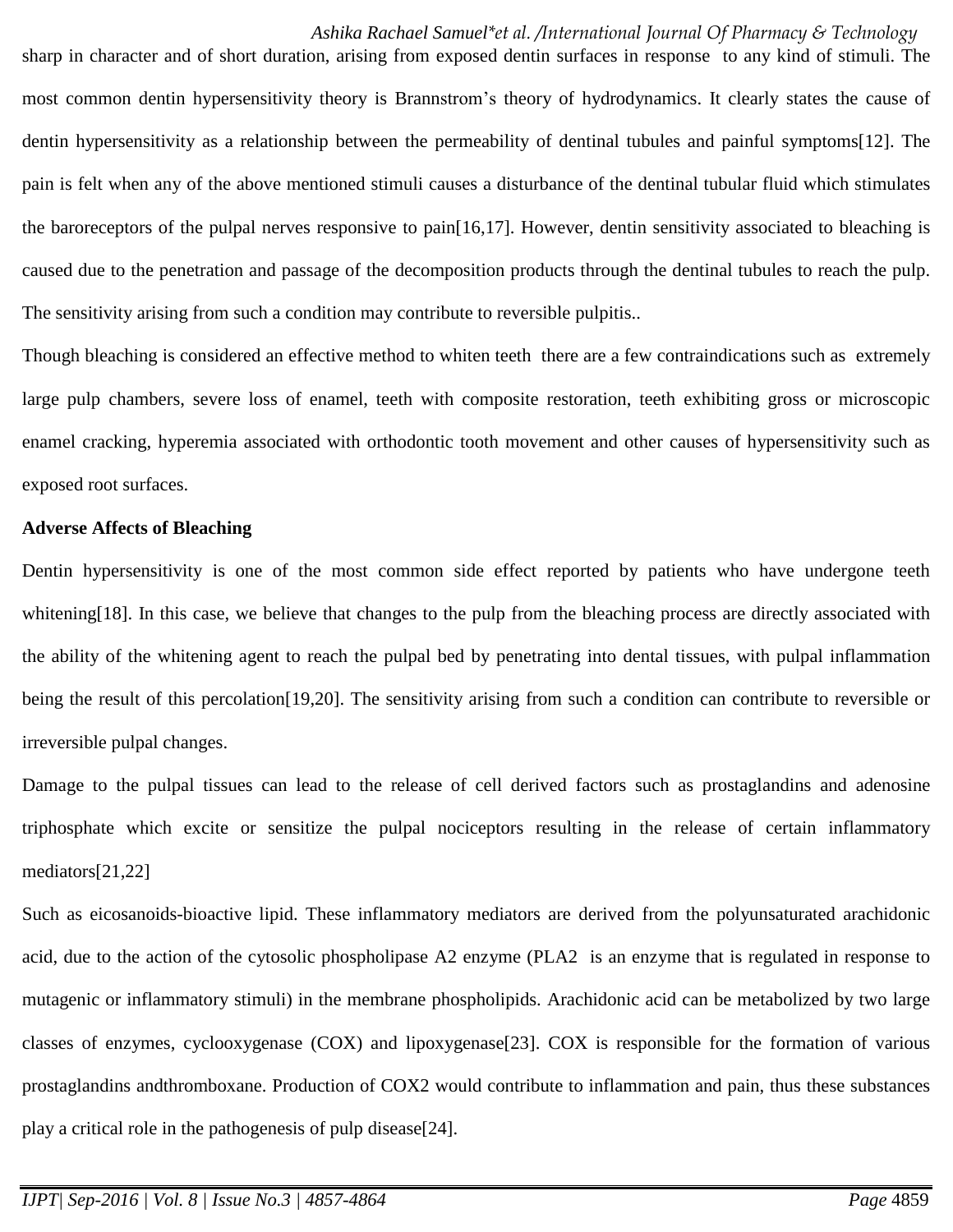sharp in character and of short duration, arising from exposed dentin surfaces in response to any kind of stimuli. The most common dentin hypersensitivity theory is Brannstrom's theory of hydrodynamics. It clearly states the cause of dentin hypersensitivity as a relationship between the permeability of dentinal tubules and painful symptoms[12]. The pain is felt when any of the above mentioned stimuli causes a disturbance of the dentinal tubular fluid which stimulates the baroreceptors of the pulpal nerves responsive to pain[16,17]. However, dentin sensitivity associated to bleaching is caused due to the penetration and passage of the decomposition products through the dentinal tubules to reach the pulp. The sensitivity arising from such a condition may contribute to reversible pulpitis..

Though bleaching is considered an effective method to whiten teeth there are a few contraindications such as extremely large pulp chambers, severe loss of enamel, teeth with composite restoration, teeth exhibiting gross or microscopic enamel cracking, hyperemia associated with orthodontic tooth movement and other causes of hypersensitivity such as exposed root surfaces.

#### **Adverse Affects of Bleaching**

Dentin hypersensitivity is one of the most common side effect reported by patients who have undergone teeth whitening[18]. In this case, we believe that changes to the pulp from the bleaching process are directly associated with the ability of the whitening agent to reach the pulpal bed by penetrating into dental tissues, with pulpal inflammation being the result of this percolation[19,20]. The sensitivity arising from such a condition can contribute to reversible or irreversible pulpal changes.

Damage to the pulpal tissues can lead to the release of cell derived factors such as prostaglandins and adenosine triphosphate which excite or sensitize the pulpal nociceptors resulting in the release of certain inflammatory mediators[21,22]

Such as eicosanoids-bioactive lipid. These inflammatory mediators are derived from the polyunsaturated arachidonic acid, due to the action of the cytosolic phospholipase A2 enzyme (PLA2 is an enzyme that is regulated in response to mutagenic or inflammatory stimuli) in the membrane phospholipids. Arachidonic acid can be metabolized by two large classes of enzymes, cyclooxygenase (COX) and lipoxygenase[23]. COX is responsible for the formation of various prostaglandins andthromboxane. Production of COX2 would contribute to inflammation and pain, thus these substances play a critical role in the pathogenesis of pulp disease[24].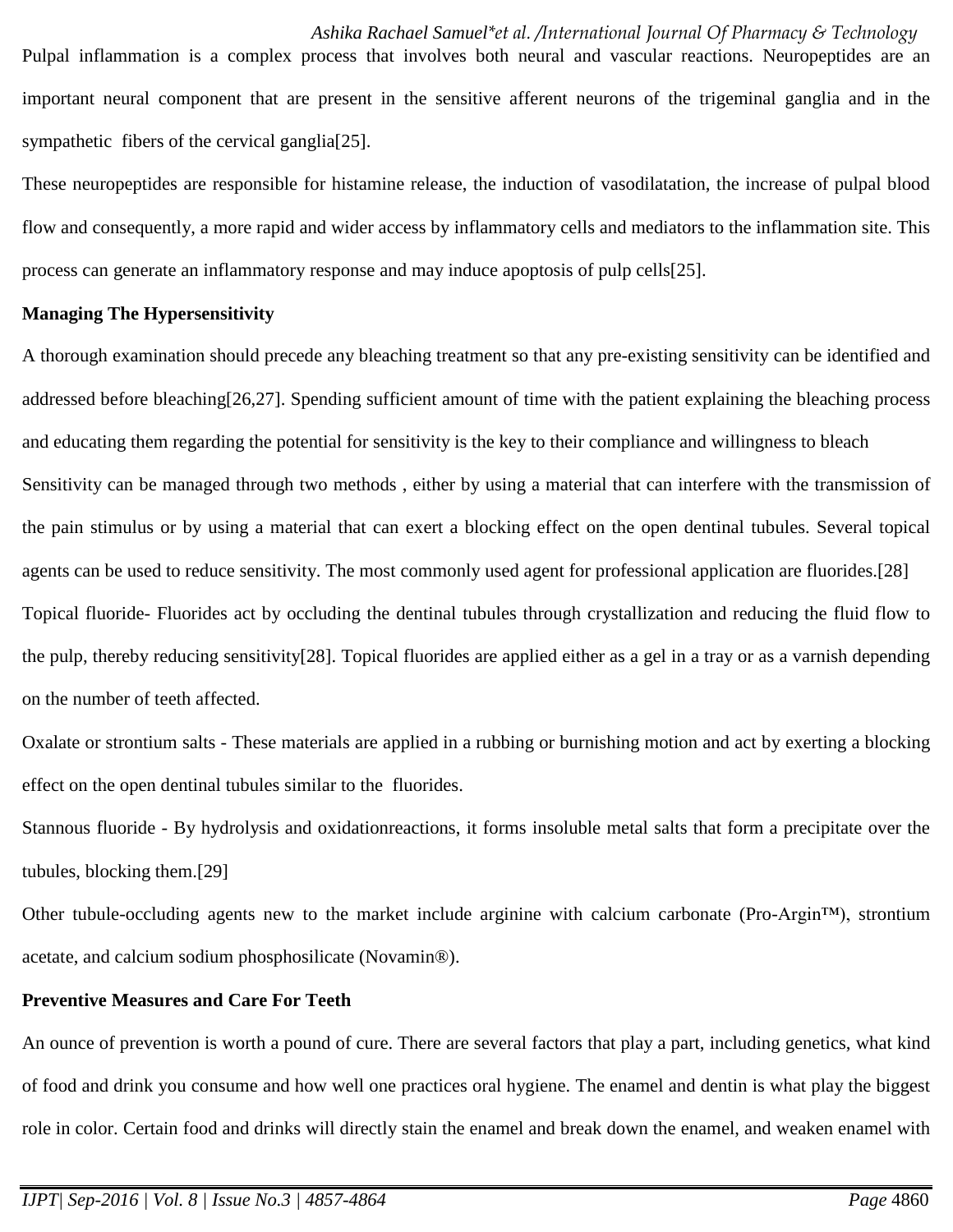Pulpal inflammation is a complex process that involves both neural and vascular reactions. Neuropeptides are an important neural component that are present in the sensitive afferent neurons of the trigeminal ganglia and in the sympathetic fibers of the cervical ganglia<sup>[25]</sup>.

These neuropeptides are responsible for histamine release, the induction of vasodilatation, the increase of pulpal blood flow and consequently, a more rapid and wider access by inflammatory cells and mediators to the inflammation site. This process can generate an inflammatory response and may induce apoptosis of pulp cells[25].

## **Managing The Hypersensitivity**

A thorough examination should precede any bleaching treatment so that any pre-existing sensitivity can be identified and addressed before bleaching[26,27]. Spending sufficient amount of time with the patient explaining the bleaching process and educating them regarding the potential for sensitivity is the key to their compliance and willingness to bleach Sensitivity can be managed through two methods , either by using a material that can interfere with the transmission of the pain stimulus or by using a material that can exert a blocking effect on the open dentinal tubules. Several topical agents can be used to reduce sensitivity. The most commonly used agent for professional application are fluorides.[28] Topical fluoride- Fluorides act by occluding the dentinal tubules through crystallization and reducing the fluid flow to the pulp, thereby reducing sensitivity[28]. Topical fluorides are applied either as a gel in a tray or as a varnish depending on the number of teeth affected.

Oxalate or strontium salts - These materials are applied in a rubbing or burnishing motion and act by exerting a blocking effect on the open dentinal tubules similar to the fluorides.

Stannous fluoride - By hydrolysis and oxidationreactions, it forms insoluble metal salts that form a precipitate over the tubules, blocking them.[29]

Other tubule-occluding agents new to the market include arginine with calcium carbonate (Pro-Argin™), strontium acetate, and calcium sodium phosphosilicate (Novamin®).

# **Preventive Measures and Care For Teeth**

An ounce of prevention is worth a pound of cure. There are several factors that play a part, including genetics, what kind of food and drink you consume and how well one practices oral hygiene. The enamel and dentin is what play the biggest role in color. Certain food and drinks will directly stain the enamel and break down the enamel, and weaken enamel with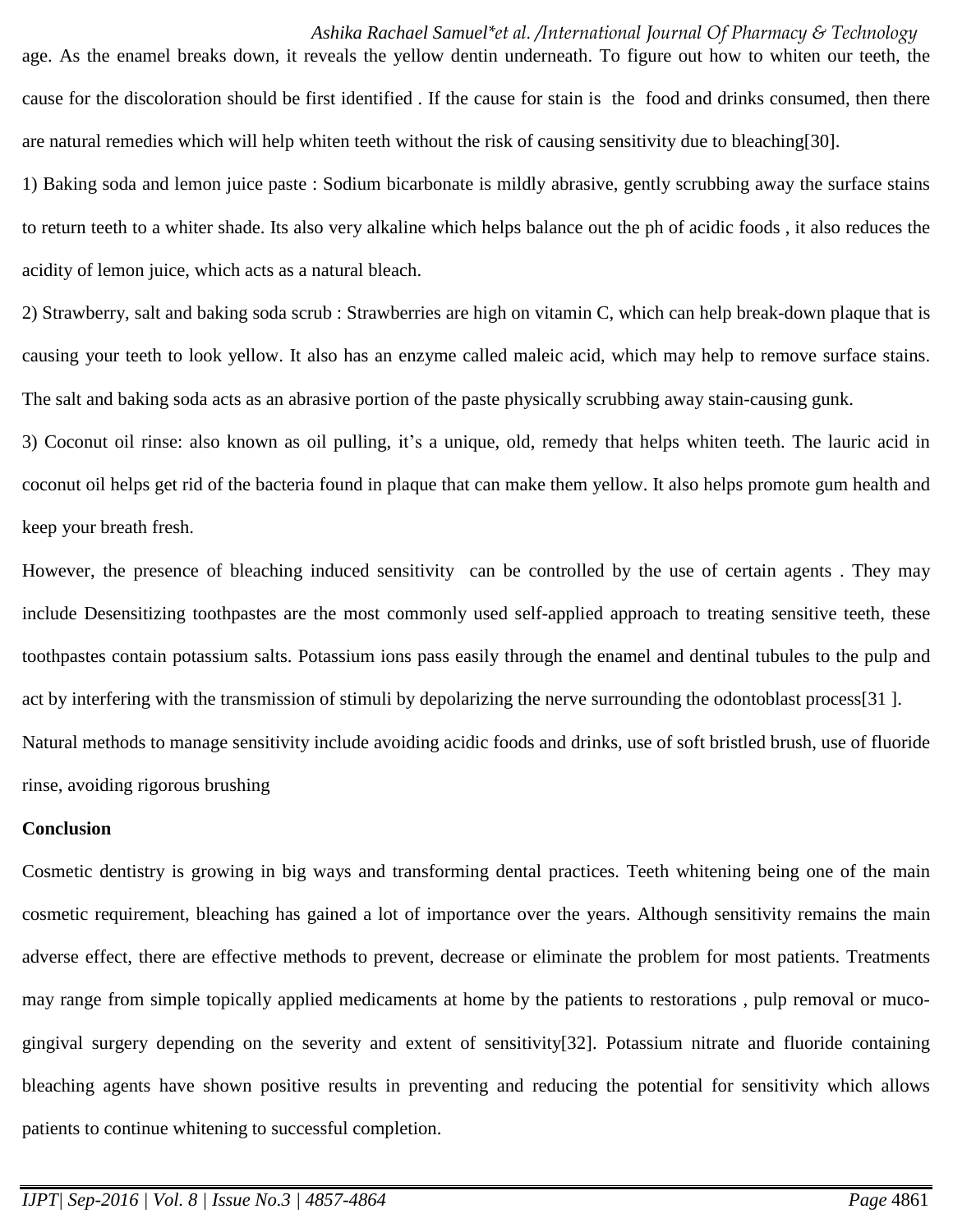age. As the enamel breaks down, it reveals the yellow dentin underneath. To figure out how to whiten our teeth, the cause for the discoloration should be first identified . If the cause for stain is the food and drinks consumed, then there are natural remedies which will help whiten teeth without the risk of causing sensitivity due to bleaching[30].

1) Baking soda and lemon juice paste : Sodium bicarbonate is mildly abrasive, gently scrubbing away the surface stains to return teeth to a whiter shade. Its also very alkaline which helps balance out the ph of acidic foods , it also reduces the acidity of lemon juice, which acts as a natural bleach.

2) Strawberry, salt and baking soda scrub : Strawberries are high on vitamin C, which can help break-down plaque that is causing your teeth to look yellow. It also has an enzyme called maleic acid, which may help to remove surface stains. The salt and baking soda acts as an abrasive portion of the paste physically scrubbing away stain-causing gunk.

3) Coconut oil rinse: also known as oil pulling, it's a unique, old, remedy that helps whiten teeth. The lauric acid in coconut oil helps get rid of the bacteria found in plaque that can make them yellow. It also helps promote gum health and keep your breath fresh.

However, the presence of bleaching induced sensitivity can be controlled by the use of certain agents . They may include Desensitizing toothpastes are the most commonly used self-applied approach to treating sensitive teeth, these toothpastes contain potassium salts. Potassium ions pass easily through the enamel and dentinal tubules to the pulp and act by interfering with the transmission of stimuli by depolarizing the nerve surrounding the odontoblast process[31 ]. Natural methods to manage sensitivity include avoiding acidic foods and drinks, use of soft bristled brush, use of fluoride rinse, avoiding rigorous brushing

## **Conclusion**

Cosmetic dentistry is growing in big ways and transforming dental practices. Teeth whitening being one of the main cosmetic requirement, bleaching has gained a lot of importance over the years. Although sensitivity remains the main adverse effect, there are effective methods to prevent, decrease or eliminate the problem for most patients. Treatments may range from simple topically applied medicaments at home by the patients to restorations , pulp removal or mucogingival surgery depending on the severity and extent of sensitivity[32]. Potassium nitrate and fluoride containing bleaching agents have shown positive results in preventing and reducing the potential for sensitivity which allows patients to continue whitening to successful completion.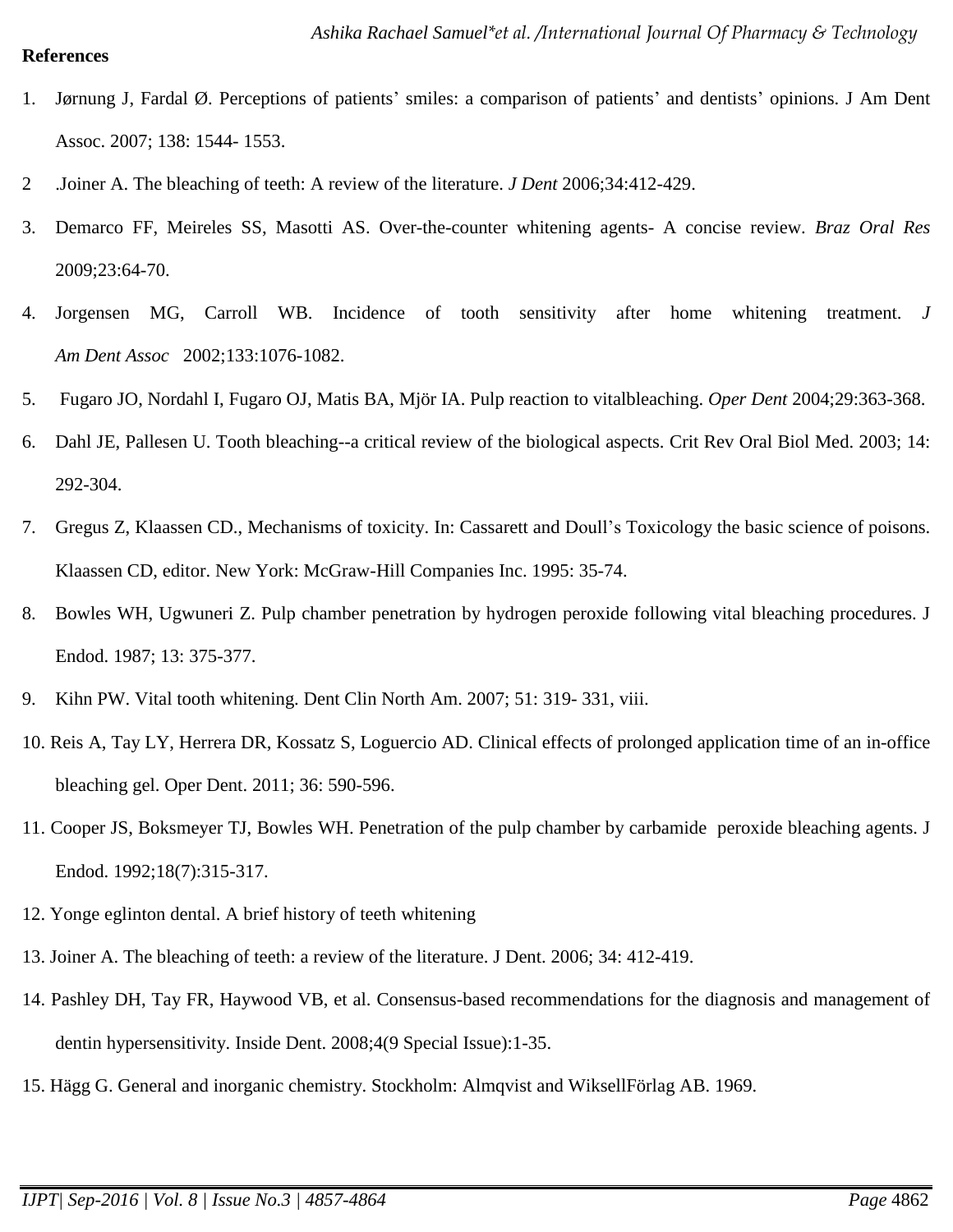## **References**

- 1. Jørnung J, Fardal Ø. Perceptions of patients' smiles: a comparison of patients' and dentists' opinions. J Am Dent Assoc. 2007; 138: 1544- 1553.
- 2 .Joiner A. The bleaching of teeth: A review of the literature. *J Dent* 2006;34:412-429.
- 3. Demarco FF, Meireles SS, Masotti AS. Over-the-counter whitening agents- A concise review. *Braz Oral Res* 2009;23:64-70.
- 4. Jorgensen MG, Carroll WB. Incidence of tooth sensitivity after home whitening treatment. *J Am Dent Assoc* 2002;133:1076-1082.
- 5. Fugaro JO, Nordahl I, Fugaro OJ, Matis BA, Mjör IA. Pulp reaction to vitalbleaching. *Oper Dent* 2004;29:363-368.
- 6. Dahl JE, Pallesen U. Tooth bleaching--a critical review of the biological aspects. Crit Rev Oral Biol Med. 2003; 14: 292-304.
- 7. Gregus Z, Klaassen CD., Mechanisms of toxicity. In: Cassarett and Doull's Toxicology the basic science of poisons. Klaassen CD, editor. New York: McGraw-Hill Companies Inc. 1995: 35-74.
- 8. Bowles WH, Ugwuneri Z. Pulp chamber penetration by hydrogen peroxide following vital bleaching procedures. J Endod. 1987; 13: 375-377.
- 9. Kihn PW. Vital tooth whitening. Dent Clin North Am. 2007; 51: 319- 331, viii.
- 10. Reis A, Tay LY, Herrera DR, Kossatz S, Loguercio AD. Clinical effects of prolonged application time of an in-office bleaching gel. Oper Dent. 2011; 36: 590-596.
- 11. Cooper JS, Boksmeyer TJ, Bowles WH. Penetration of the pulp chamber by carbamide peroxide bleaching agents. J Endod. 1992;18(7):315-317.
- 12. Yonge eglinton dental. A brief history of teeth whitening
- 13. Joiner A. The bleaching of teeth: a review of the literature. J Dent. 2006; 34: 412-419.
- 14. Pashley DH, Tay FR, Haywood VB, et al. Consensus-based recommendations for the diagnosis and management of dentin hypersensitivity. Inside Dent. 2008;4(9 Special Issue):1-35.
- 15. Hägg G. General and inorganic chemistry. Stockholm: Almqvist and WiksellFörlag AB. 1969.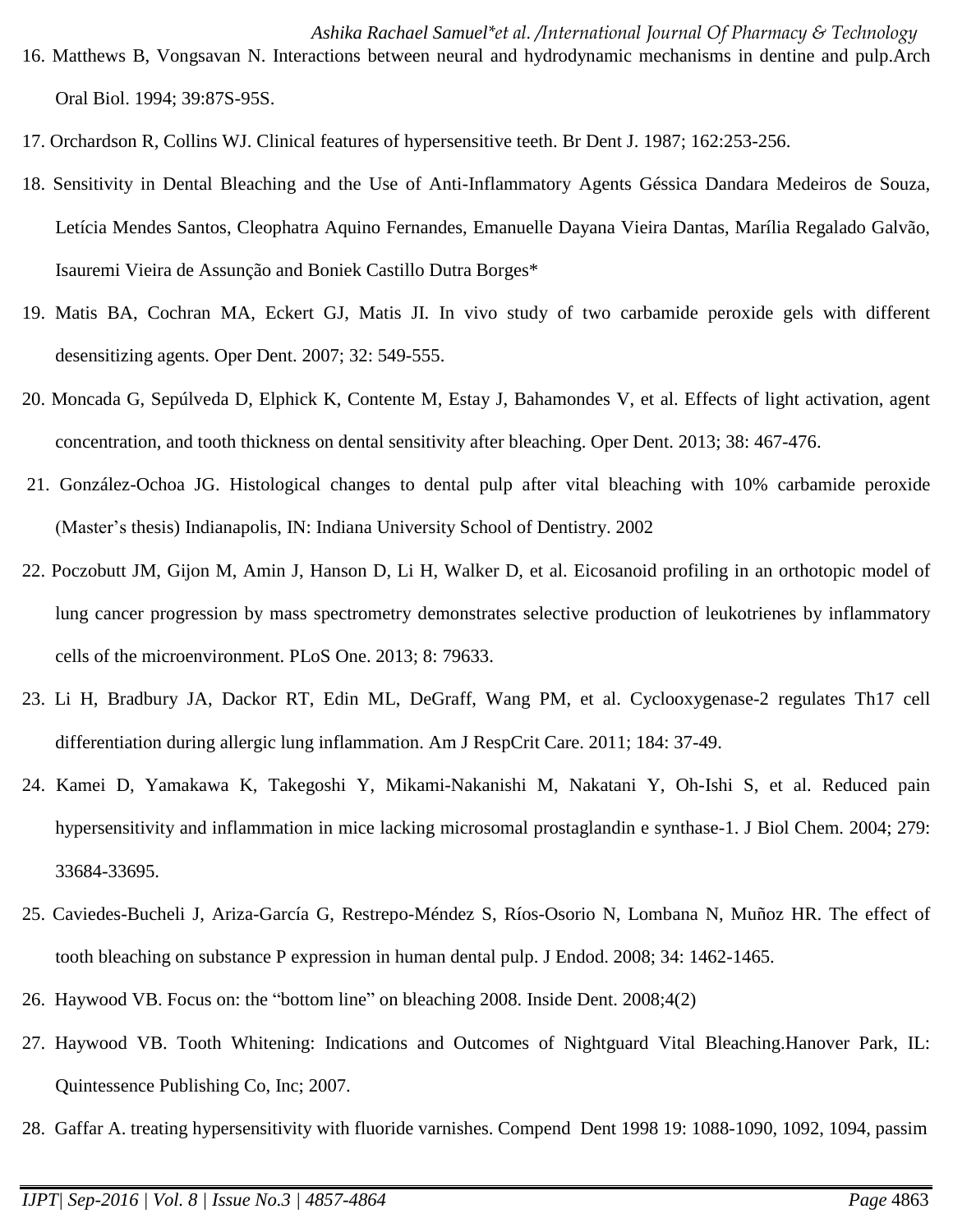- *Ashika Rachael Samuel\*et al. /International Journal Of Pharmacy & Technology* 16. Matthews B, Vongsavan N. Interactions between neural and hydrodynamic mechanisms in dentine and pulp.Arch Oral Biol. 1994; 39:87S-95S.
- 17. Orchardson R, Collins WJ. Clinical features of hypersensitive teeth. Br Dent J. 1987; 162:253-256.
- 18. Sensitivity in Dental Bleaching and the Use of Anti-Inflammatory Agents Géssica Dandara Medeiros de Souza, Letícia Mendes Santos, Cleophatra Aquino Fernandes, Emanuelle Dayana Vieira Dantas, Marília Regalado Galvão, Isauremi Vieira de Assunção and Boniek Castillo Dutra Borges\*
- 19. Matis BA, Cochran MA, Eckert GJ, Matis JI. In vivo study of two carbamide peroxide gels with different desensitizing agents. Oper Dent. 2007; 32: 549-555.
- 20. Moncada G, Sepúlveda D, Elphick K, Contente M, Estay J, Bahamondes V, et al. Effects of light activation, agent concentration, and tooth thickness on dental sensitivity after bleaching. Oper Dent. 2013; 38: 467-476.
- 21. González-Ochoa JG. Histological changes to dental pulp after vital bleaching with 10% carbamide peroxide (Master's thesis) Indianapolis, IN: Indiana University School of Dentistry. 2002
- 22. Poczobutt JM, Gijon M, Amin J, Hanson D, Li H, Walker D, et al. Eicosanoid profiling in an orthotopic model of lung cancer progression by mass spectrometry demonstrates selective production of leukotrienes by inflammatory cells of the microenvironment. PLoS One. 2013; 8: 79633.
- 23. Li H, Bradbury JA, Dackor RT, Edin ML, DeGraff, Wang PM, et al. Cyclooxygenase-2 regulates Th17 cell differentiation during allergic lung inflammation. Am J RespCrit Care. 2011; 184: 37-49.
- 24. Kamei D, Yamakawa K, Takegoshi Y, Mikami-Nakanishi M, Nakatani Y, Oh-Ishi S, et al. Reduced pain hypersensitivity and inflammation in mice lacking microsomal prostaglandin e synthase-1. J Biol Chem. 2004; 279: 33684-33695.
- 25. Caviedes-Bucheli J, Ariza-García G, Restrepo-Méndez S, Ríos-Osorio N, Lombana N, Muñoz HR. The effect of tooth bleaching on substance P expression in human dental pulp. J Endod. 2008; 34: 1462-1465.
- 26. Haywood VB. Focus on: the "bottom line" on bleaching 2008. Inside Dent. 2008;4(2)
- 27. Haywood VB. Tooth Whitening: Indications and Outcomes of Nightguard Vital Bleaching.Hanover Park, IL: Quintessence Publishing Co, Inc; 2007.
- 28. Gaffar A. treating hypersensitivity with fluoride varnishes. Compend Dent 1998 19: 1088-1090, 1092, 1094, passim